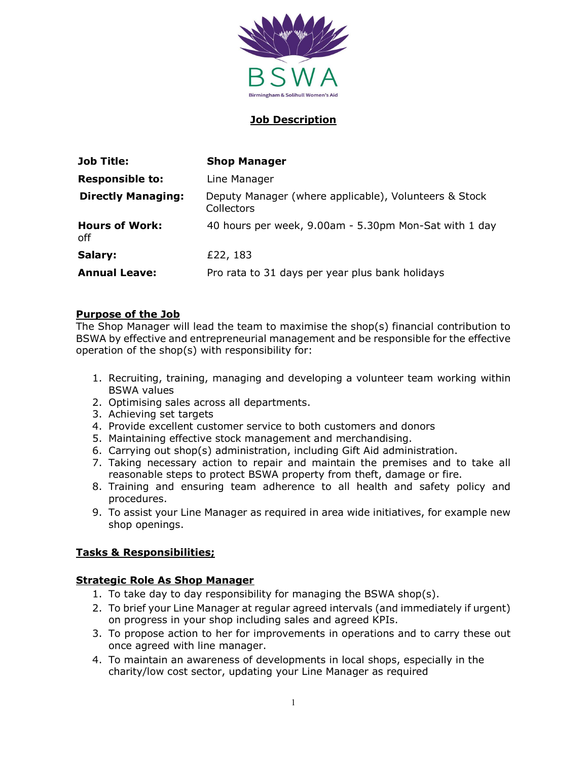

#### Job Description

| <b>Job Title:</b>            | <b>Shop Manager</b>                                                 |
|------------------------------|---------------------------------------------------------------------|
| <b>Responsible to:</b>       | Line Manager                                                        |
| <b>Directly Managing:</b>    | Deputy Manager (where applicable), Volunteers & Stock<br>Collectors |
| <b>Hours of Work:</b><br>off | 40 hours per week, 9.00am - 5.30pm Mon-Sat with 1 day               |
| Salary:                      | £22, 183                                                            |
| <b>Annual Leave:</b>         | Pro rata to 31 days per year plus bank holidays                     |

#### Purpose of the Job

The Shop Manager will lead the team to maximise the shop(s) financial contribution to BSWA by effective and entrepreneurial management and be responsible for the effective operation of the shop(s) with responsibility for:

- 1. Recruiting, training, managing and developing a volunteer team working within BSWA values
- 2. Optimising sales across all departments.
- 3. Achieving set targets
- 4. Provide excellent customer service to both customers and donors
- 5. Maintaining effective stock management and merchandising.
- 6. Carrying out shop(s) administration, including Gift Aid administration.
- 7. Taking necessary action to repair and maintain the premises and to take all reasonable steps to protect BSWA property from theft, damage or fire.
- 8. Training and ensuring team adherence to all health and safety policy and procedures.
- 9. To assist your Line Manager as required in area wide initiatives, for example new shop openings.

#### Tasks & Responsibilities;

#### Strategic Role As Shop Manager

- 1. To take day to day responsibility for managing the BSWA shop(s).
- 2. To brief your Line Manager at regular agreed intervals (and immediately if urgent) on progress in your shop including sales and agreed KPIs.
- 3. To propose action to her for improvements in operations and to carry these out once agreed with line manager.
- 4. To maintain an awareness of developments in local shops, especially in the charity/low cost sector, updating your Line Manager as required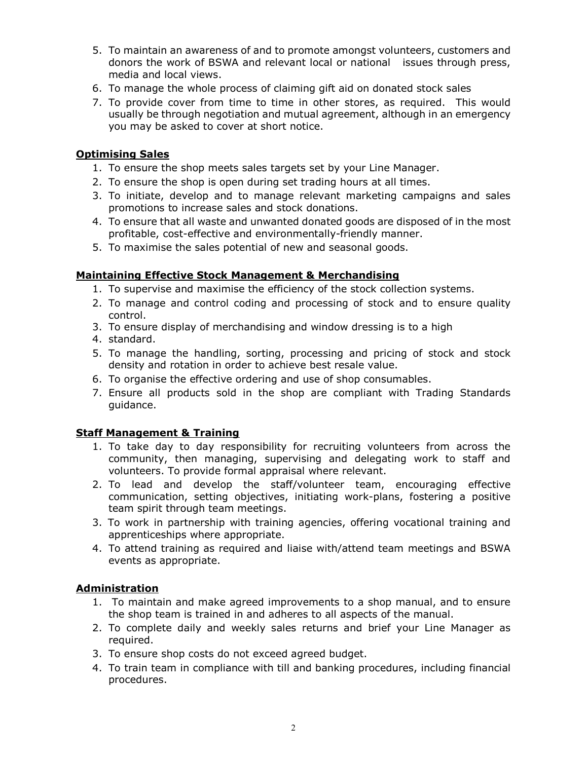- 5. To maintain an awareness of and to promote amongst volunteers, customers and donors the work of BSWA and relevant local or national issues through press, media and local views.
- 6. To manage the whole process of claiming gift aid on donated stock sales
- 7. To provide cover from time to time in other stores, as required. This would usually be through negotiation and mutual agreement, although in an emergency you may be asked to cover at short notice.

## Optimising Sales

- 1. To ensure the shop meets sales targets set by your Line Manager.
- 2. To ensure the shop is open during set trading hours at all times.
- 3. To initiate, develop and to manage relevant marketing campaigns and sales promotions to increase sales and stock donations.
- 4. To ensure that all waste and unwanted donated goods are disposed of in the most profitable, cost-effective and environmentally-friendly manner.
- 5. To maximise the sales potential of new and seasonal goods.

#### Maintaining Effective Stock Management & Merchandising

- 1. To supervise and maximise the efficiency of the stock collection systems.
- 2. To manage and control coding and processing of stock and to ensure quality control.
- 3. To ensure display of merchandising and window dressing is to a high
- 4. standard.
- 5. To manage the handling, sorting, processing and pricing of stock and stock density and rotation in order to achieve best resale value.
- 6. To organise the effective ordering and use of shop consumables.
- 7. Ensure all products sold in the shop are compliant with Trading Standards guidance.

#### Staff Management & Training

- 1. To take day to day responsibility for recruiting volunteers from across the community, then managing, supervising and delegating work to staff and volunteers. To provide formal appraisal where relevant.
- 2. To lead and develop the staff/volunteer team, encouraging effective communication, setting objectives, initiating work-plans, fostering a positive team spirit through team meetings.
- 3. To work in partnership with training agencies, offering vocational training and apprenticeships where appropriate.
- 4. To attend training as required and liaise with/attend team meetings and BSWA events as appropriate.

#### Administration

- 1. To maintain and make agreed improvements to a shop manual, and to ensure the shop team is trained in and adheres to all aspects of the manual.
- 2. To complete daily and weekly sales returns and brief your Line Manager as required.
- 3. To ensure shop costs do not exceed agreed budget.
- 4. To train team in compliance with till and banking procedures, including financial procedures.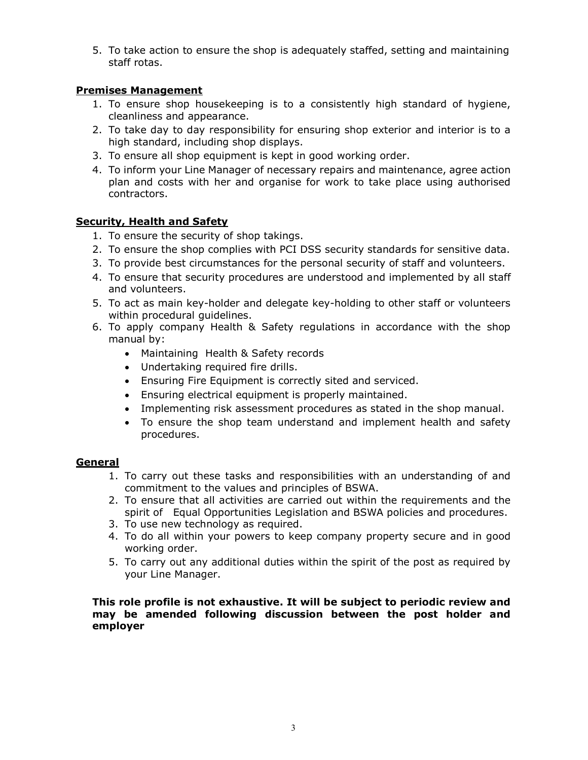5. To take action to ensure the shop is adequately staffed, setting and maintaining staff rotas.

## Premises Management

- 1. To ensure shop housekeeping is to a consistently high standard of hygiene, cleanliness and appearance.
- 2. To take day to day responsibility for ensuring shop exterior and interior is to a high standard, including shop displays.
- 3. To ensure all shop equipment is kept in good working order.
- 4. To inform your Line Manager of necessary repairs and maintenance, agree action plan and costs with her and organise for work to take place using authorised contractors.

## Security, Health and Safety

- 1. To ensure the security of shop takings.
- 2. To ensure the shop complies with PCI DSS security standards for sensitive data.
- 3. To provide best circumstances for the personal security of staff and volunteers.
- 4. To ensure that security procedures are understood and implemented by all staff and volunteers.
- 5. To act as main key-holder and delegate key-holding to other staff or volunteers within procedural guidelines.
- 6. To apply company Health & Safety regulations in accordance with the shop manual by:
	- Maintaining Health & Safety records
	- Undertaking required fire drills.
	- Ensuring Fire Equipment is correctly sited and serviced.
	- Ensuring electrical equipment is properly maintained.
	- Implementing risk assessment procedures as stated in the shop manual.
	- To ensure the shop team understand and implement health and safety procedures.

#### General

- 1. To carry out these tasks and responsibilities with an understanding of and commitment to the values and principles of BSWA.
- 2. To ensure that all activities are carried out within the requirements and the spirit of Equal Opportunities Legislation and BSWA policies and procedures.
- 3. To use new technology as required.
- 4. To do all within your powers to keep company property secure and in good working order.
- 5. To carry out any additional duties within the spirit of the post as required by your Line Manager.

This role profile is not exhaustive. It will be subject to periodic review and may be amended following discussion between the post holder and employer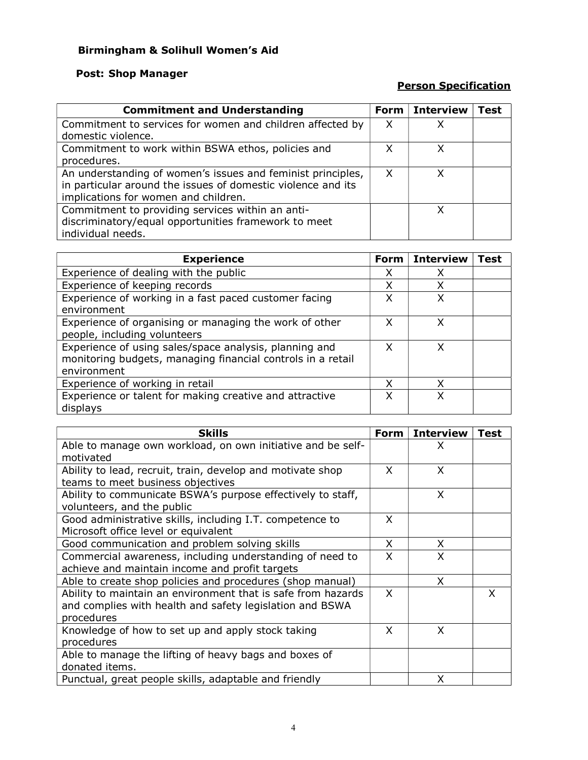# Birmingham & Solihull Women's Aid

# Post: Shop Manager

# Person Specification

| <b>Commitment and Understanding</b>                          |   | <b>Form</b> Interview | Test |
|--------------------------------------------------------------|---|-----------------------|------|
| Commitment to services for women and children affected by    | X |                       |      |
| domestic violence.                                           |   |                       |      |
| Commitment to work within BSWA ethos, policies and           | X | x                     |      |
| procedures.                                                  |   |                       |      |
| An understanding of women's issues and feminist principles,  | X | x                     |      |
| in particular around the issues of domestic violence and its |   |                       |      |
| implications for women and children.                         |   |                       |      |
| Commitment to providing services within an anti-             |   | x                     |      |
| discriminatory/equal opportunities framework to meet         |   |                       |      |
| individual needs.                                            |   |                       |      |

| <b>Experience</b>                                                                                                                    |   | <b>Interview</b> | Test |
|--------------------------------------------------------------------------------------------------------------------------------------|---|------------------|------|
| Experience of dealing with the public                                                                                                |   |                  |      |
| Experience of keeping records                                                                                                        | X | χ                |      |
| Experience of working in a fast paced customer facing<br>environment                                                                 | x | x                |      |
| Experience of organising or managing the work of other<br>people, including volunteers                                               | x | x                |      |
| Experience of using sales/space analysis, planning and<br>monitoring budgets, managing financial controls in a retail<br>environment |   | x                |      |
| Experience of working in retail                                                                                                      |   |                  |      |
| Experience or talent for making creative and attractive<br>displays                                                                  | x |                  |      |

| <b>Skills</b>                                                                                                                          |          | <b>Interview</b> | Test |
|----------------------------------------------------------------------------------------------------------------------------------------|----------|------------------|------|
| Able to manage own workload, on own initiative and be self-<br>motivated                                                               |          | X                |      |
| Ability to lead, recruit, train, develop and motivate shop<br>teams to meet business objectives                                        | X        | X                |      |
| Ability to communicate BSWA's purpose effectively to staff,<br>volunteers, and the public                                              |          | X                |      |
| Good administrative skills, including I.T. competence to<br>Microsoft office level or equivalent                                       | X        |                  |      |
| Good communication and problem solving skills                                                                                          | X        | X.               |      |
| Commercial awareness, including understanding of need to<br>achieve and maintain income and profit targets                             | X        | X                |      |
| Able to create shop policies and procedures (shop manual)                                                                              |          | X.               |      |
| Ability to maintain an environment that is safe from hazards<br>and complies with health and safety legislation and BSWA<br>procedures | $\times$ |                  | X    |
| Knowledge of how to set up and apply stock taking<br>procedures                                                                        | X        | X                |      |
| Able to manage the lifting of heavy bags and boxes of<br>donated items.                                                                |          |                  |      |
| Punctual, great people skills, adaptable and friendly                                                                                  |          | X                |      |